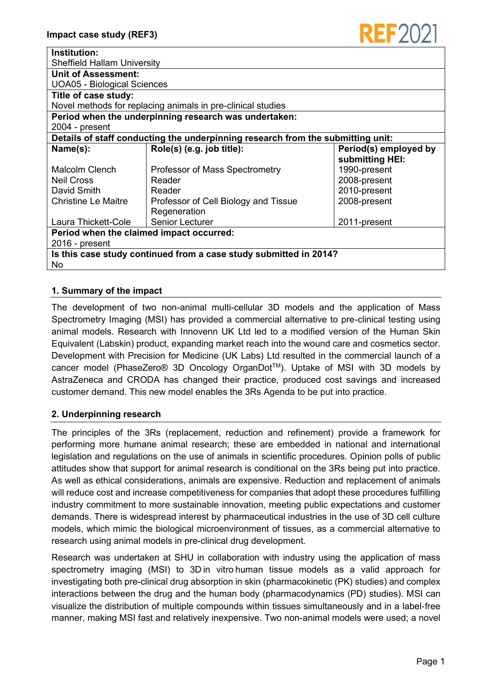

| Institution:                                                                    |                                      |                       |
|---------------------------------------------------------------------------------|--------------------------------------|-----------------------|
| <b>Sheffield Hallam University</b>                                              |                                      |                       |
| <b>Unit of Assessment:</b>                                                      |                                      |                       |
| <b>UOA05 - Biological Sciences</b>                                              |                                      |                       |
| Title of case study:                                                            |                                      |                       |
| Novel methods for replacing animals in pre-clinical studies                     |                                      |                       |
| Period when the underpinning research was undertaken:                           |                                      |                       |
| 2004 - present                                                                  |                                      |                       |
| Details of staff conducting the underpinning research from the submitting unit: |                                      |                       |
| Name(s):                                                                        | Role(s) (e.g. job title):            | Period(s) employed by |
|                                                                                 |                                      | submitting HEI:       |
| Malcolm Clench                                                                  | Professor of Mass Spectrometry       | 1990-present          |
| <b>Neil Cross</b>                                                               | Reader                               | 2008-present          |
| David Smith                                                                     | Reader                               | 2010-present          |
| <b>Christine Le Maitre</b>                                                      | Professor of Cell Biology and Tissue | 2008-present          |
|                                                                                 | Regeneration                         |                       |
| Laura Thickett-Cole                                                             | <b>Senior Lecturer</b>               | 2011-present          |
| Period when the claimed impact occurred:                                        |                                      |                       |
| $2016$ - present                                                                |                                      |                       |
| Is this case study continued from a case study submitted in 2014?<br>No.        |                                      |                       |

# **1. Summary of the impact**

The development of two non-animal multi-cellular 3D models and the application of Mass Spectrometry Imaging (MSI) has provided a commercial alternative to pre-clinical testing using animal models. Research with Innovenn UK Ltd led to a modified version of the Human Skin Equivalent (Labskin) product, expanding market reach into the wound care and cosmetics sector. Development with Precision for Medicine (UK Labs) Ltd resulted in the commercial launch of a cancer model (PhaseZero® 3D Oncology OrganDotTM). Uptake of MSI with 3D models by AstraZeneca and CRODA has changed their practice, produced cost savings and increased customer demand. This new model enables the 3Rs Agenda to be put into practice.

## **2. Underpinning research**

The principles of the 3Rs (replacement, reduction and refinement) provide a framework for performing more humane animal research; these are embedded in national and international legislation and regulations on the use of animals in scientific procedures. Opinion polls of public attitudes show that support for animal research is conditional on the 3Rs being put into practice. As well as ethical considerations, animals are expensive. Reduction and replacement of animals will reduce cost and increase competitiveness for companies that adopt these procedures fulfilling industry commitment to more sustainable innovation, meeting public expectations and customer demands. There is widespread interest by pharmaceutical industries in the use of 3D cell culture models, which mimic the biological microenvironment of tissues, as a commercial alternative to research using animal models in pre-clinical drug development.

Research was undertaken at SHU in collaboration with industry using the application of mass spectrometry imaging (MSI) to 3D in vitro human tissue models as a valid approach for investigating both pre-clinical drug absorption in skin (pharmacokinetic (PK) studies) and complex interactions between the drug and the human body (pharmacodynamics (PD) studies). MSI can visualize the distribution of multiple compounds within tissues simultaneously and in a label‐free manner, making MSI fast and relatively inexpensive. Two non-animal models were used; a novel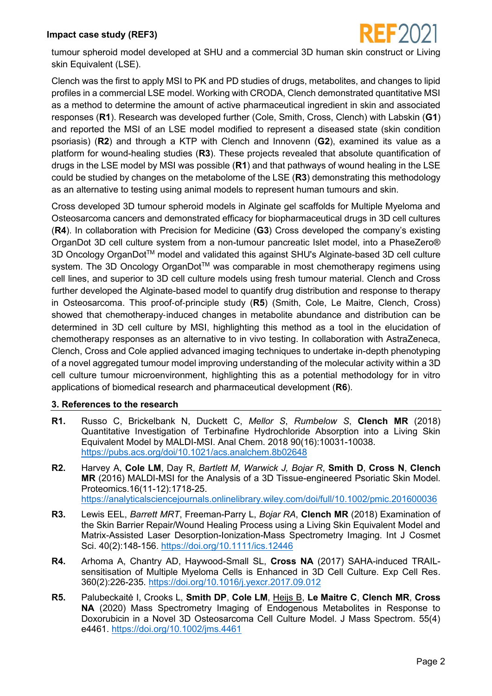

tumour spheroid model developed at SHU and a commercial 3D human skin construct or Living skin Equivalent (LSE).

Clench was the first to apply MSI to PK and PD studies of drugs, metabolites, and changes to lipid profiles in a commercial LSE model. Working with CRODA, Clench demonstrated quantitative MSI as a method to determine the amount of active pharmaceutical ingredient in skin and associated responses (**R1**). Research was developed further (Cole, Smith, Cross, Clench) with Labskin (**G1**) and reported the MSI of an LSE model modified to represent a diseased state (skin condition psoriasis) (**R2**) and through a KTP with Clench and Innovenn (**G2**), examined its value as a platform for wound-healing studies (**R3**). These projects revealed that absolute quantification of drugs in the LSE model by MSI was possible (**R1**) and that pathways of wound healing in the LSE could be studied by changes on the metabolome of the LSE (**R3**) demonstrating this methodology as an alternative to testing using animal models to represent human tumours and skin.

Cross developed 3D tumour spheroid models in Alginate gel scaffolds for Multiple Myeloma and Osteosarcoma cancers and demonstrated efficacy for biopharmaceutical drugs in 3D cell cultures (**R4**). In collaboration with Precision for Medicine (**G3**) Cross developed the company's existing OrganDot 3D cell culture system from a non-tumour pancreatic Islet model, into a PhaseZero® 3D Oncology OrganDot<sup>™</sup> model and validated this against SHU's Alginate-based 3D cell culture system. The 3D Oncology OrganDot™ was comparable in most chemotherapy regimens using cell lines, and superior to 3D cell culture models using fresh tumour material. Clench and Cross further developed the Alginate-based model to quantify drug distribution and response to therapy in Osteosarcoma. This proof‐of‐principle study (**R5**) (Smith, Cole, Le Maitre, Clench, Cross) showed that chemotherapy‐induced changes in metabolite abundance and distribution can be determined in 3D cell culture by MSI, highlighting this method as a tool in the elucidation of chemotherapy responses as an alternative to in vivo testing. In collaboration with AstraZeneca, Clench, Cross and Cole applied advanced imaging techniques to undertake in-depth phenotyping of a novel aggregated tumour model improving understanding of the molecular activity within a 3D cell culture tumour microenvironment, highlighting this as a potential methodology for in vitro applications of biomedical research and pharmaceutical development (**R6**).

#### **3. References to the research**

- **R1.** Russo C, Brickelbank N, Duckett C, *Mellor S*, *Rumbelow S*, **Clench MR** (2018) Quantitative Investigation of Terbinafine Hydrochloride Absorption into a Living Skin Equivalent Model by MALDI-MSI. Anal Chem. 2018 90(16):10031-10038. <https://pubs.acs.org/doi/10.1021/acs.analchem.8b02648>
- **R2.** Harvey A, **Cole LM**, Day R, *Bartlett M*, *Warwick J, Bojar R*, **Smith D**, **Cross N**, **Clench MR** (2016) MALDI-MSI for the Analysis of a 3D Tissue-engineered Psoriatic Skin Model. Proteomics.16(11-12):1718-25. <https://analyticalsciencejournals.onlinelibrary.wiley.com/doi/full/10.1002/pmic.201600036>
- **R3.** Lewis EEL, *Barrett MRT*, Freeman-Parry L, *Bojar RA*, **Clench MR** (2018) Examination of the Skin Barrier Repair/Wound Healing Process using a Living Skin Equivalent Model and Matrix-Assisted Laser Desorption-Ionization-Mass Spectrometry Imaging. Int J Cosmet Sci. 40(2):148-156.<https://doi.org/10.1111/ics.12446>
- **R4.** Arhoma A, Chantry AD, Haywood-Small SL, **Cross NA** (2017) SAHA-induced TRAILsensitisation of Multiple Myeloma Cells is Enhanced in 3D Cell Culture. Exp Cell Res. 360(2):226-235.<https://doi.org/10.1016/j.yexcr.2017.09.012>
- **R5.** Palubeckaitė I, Crooks L, **Smith DP**, **Cole LM**, Heijs B, **Le Maitre C**, **Clench MR**, **Cross NA** (2020) Mass Spectrometry Imaging of Endogenous Metabolites in Response to Doxorubicin in a Novel 3D Osteosarcoma Cell Culture Model. J Mass Spectrom. 55(4) e4461. <https://doi.org/10.1002/jms.4461>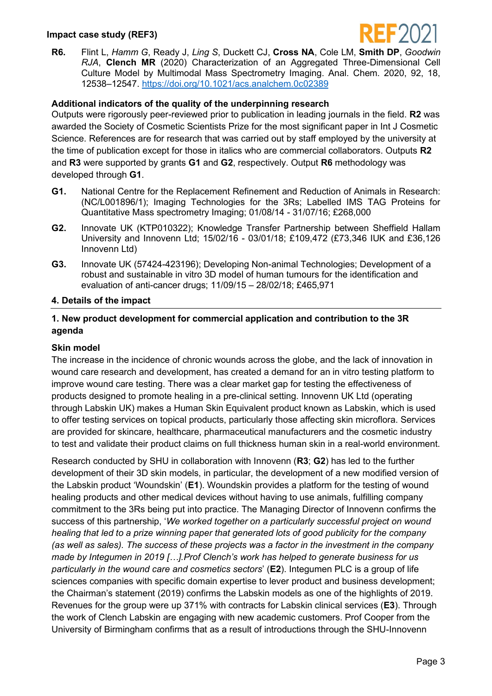

**R6.** Flint L, *Hamm G*, Ready J, *Ling S*, Duckett CJ, **Cross NA**, Cole LM, **Smith DP**, *Goodwin RJA*, **Clench MR** (2020) Characterization of an Aggregated Three-Dimensional Cell Culture Model by Multimodal Mass Spectrometry Imaging. Anal. Chem. 2020, 92, 18, 12538–12547. <https://doi.org/10.1021/acs.analchem.0c02389>

#### **Additional indicators of the quality of the underpinning research**

Outputs were rigorously peer-reviewed prior to publication in leading journals in the field. **R2** was awarded the Society of Cosmetic Scientists Prize for the most significant paper in Int J Cosmetic Science. References are for research that was carried out by staff employed by the university at the time of publication except for those in italics who are commercial collaborators. Outputs **R2** and **R3** were supported by grants **G1** and **G2**, respectively. Output **R6** methodology was developed through **G1**.

- **G1.** National Centre for the Replacement Refinement and Reduction of Animals in Research: (NC/L001896/1); Imaging Technologies for the 3Rs; Labelled IMS TAG Proteins for Quantitative Mass spectrometry Imaging; 01/08/14 - 31/07/16; £268,000
- **G2.** Innovate UK (KTP010322); Knowledge Transfer Partnership between Sheffield Hallam University and Innovenn Ltd; 15/02/16 - 03/01/18; £109,472 (£73,346 IUK and £36,126 Innovenn Ltd)
- **G3.** Innovate UK (57424-423196); Developing Non-animal Technologies; Development of a robust and sustainable in vitro 3D model of human tumours for the identification and evaluation of anti-cancer drugs; 11/09/15 – 28/02/18; £465,971

#### **4. Details of the impact**

### **1. New product development for commercial application and contribution to the 3R agenda**

#### **Skin model**

The increase in the incidence of chronic wounds across the globe, and the lack of innovation in wound care research and development, has created a demand for an in vitro testing platform to improve wound care testing. There was a clear market gap for testing the effectiveness of products designed to promote healing in a pre-clinical setting. Innovenn UK Ltd (operating through Labskin UK) makes a Human Skin Equivalent product known as Labskin, which is used to offer testing services on topical products, particularly those affecting skin microflora. Services are provided for skincare, healthcare, pharmaceutical manufacturers and the cosmetic industry to test and validate their product claims on full thickness human skin in a real-world environment.

Research conducted by SHU in collaboration with Innovenn (**R3**; **G2**) has led to the further development of their 3D skin models, in particular, the development of a new modified version of the Labskin product 'Woundskin' (**E1**). Woundskin provides a platform for the testing of wound healing products and other medical devices without having to use animals, fulfilling company commitment to the 3Rs being put into practice. The Managing Director of Innovenn confirms the success of this partnership, '*We worked together on a particularly successful project on wound healing that led to a prize winning paper that generated lots of good publicity for the company (as well as sales). The success of these projects was a factor in the investment in the company made by Integumen in 2019 […].Prof Clench's work has helped to generate business for us particularly in the wound care and cosmetics sectors*' (**E2**). Integumen PLC is a group of life sciences companies with specific domain expertise to lever product and business development; the Chairman's statement (2019) confirms the Labskin models as one of the highlights of 2019. Revenues for the group were up 371% with contracts for Labskin clinical services (**E3**). Through the work of Clench Labskin are engaging with new academic customers. Prof Cooper from the University of Birmingham confirms that as a result of introductions through the SHU-Innovenn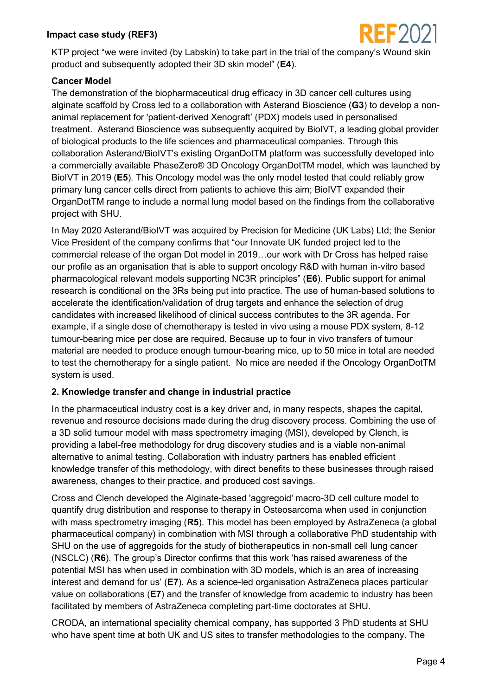

KTP project "we were invited (by Labskin) to take part in the trial of the company's Wound skin product and subsequently adopted their 3D skin model" (**E4**).

### **Cancer Model**

The demonstration of the biopharmaceutical drug efficacy in 3D cancer cell cultures using alginate scaffold by Cross led to a collaboration with Asterand Bioscience (**G3**) to develop a nonanimal replacement for 'patient-derived Xenograft' (PDX) models used in personalised treatment. Asterand Bioscience was subsequently acquired by BioIVT, a leading global provider of biological products to the life sciences and pharmaceutical companies. Through this collaboration Asterand/BioIVT's existing OrganDotTM platform was successfully developed into a commercially available PhaseZero® 3D Oncology OrganDotTM model, which was launched by BioIVT in 2019 (**E5**). This Oncology model was the only model tested that could reliably grow primary lung cancer cells direct from patients to achieve this aim; BioIVT expanded their OrganDotTM range to include a normal lung model based on the findings from the collaborative project with SHU.

In May 2020 Asterand/BioIVT was acquired by Precision for Medicine (UK Labs) Ltd; the Senior Vice President of the company confirms that "our Innovate UK funded project led to the commercial release of the organ Dot model in 2019…our work with Dr Cross has helped raise our profile as an organisation that is able to support oncology R&D with human in-vitro based pharmacological relevant models supporting NC3R principles" (**E6**). Public support for animal research is conditional on the 3Rs being put into practice. The use of human-based solutions to accelerate the identification/validation of drug targets and enhance the selection of drug candidates with increased likelihood of clinical success contributes to the 3R agenda. For example, if a single dose of chemotherapy is tested in vivo using a mouse PDX system, 8-12 tumour-bearing mice per dose are required. Because up to four in vivo transfers of tumour material are needed to produce enough tumour-bearing mice, up to 50 mice in total are needed to test the chemotherapy for a single patient. No mice are needed if the Oncology OrganDotTM system is used.

## **2. Knowledge transfer and change in industrial practice**

In the pharmaceutical industry cost is a key driver and, in many respects, shapes the capital, revenue and resource decisions made during the drug discovery process. Combining the use of a 3D solid tumour model with mass spectrometry imaging (MSI), developed by Clench, is providing a label-free methodology for drug discovery studies and is a viable non-animal alternative to animal testing. Collaboration with industry partners has enabled efficient knowledge transfer of this methodology, with direct benefits to these businesses through raised awareness, changes to their practice, and produced cost savings.

Cross and Clench developed the Alginate-based 'aggregoid' macro-3D cell culture model to quantify drug distribution and response to therapy in Osteosarcoma when used in conjunction with mass spectrometry imaging (**R5**). This model has been employed by AstraZeneca (a global pharmaceutical company) in combination with MSI through a collaborative PhD studentship with SHU on the use of aggregoids for the study of biotherapeutics in non-small cell lung cancer (NSCLC) (**R6**). The group's Director confirms that this work 'has raised awareness of the potential MSI has when used in combination with 3D models, which is an area of increasing interest and demand for us' (**E7**). As a science-led organisation AstraZeneca places particular value on collaborations (**E7**) and the transfer of knowledge from academic to industry has been facilitated by members of AstraZeneca completing part-time doctorates at SHU.

CRODA, an international speciality chemical company, has supported 3 PhD students at SHU who have spent time at both UK and US sites to transfer methodologies to the company. The